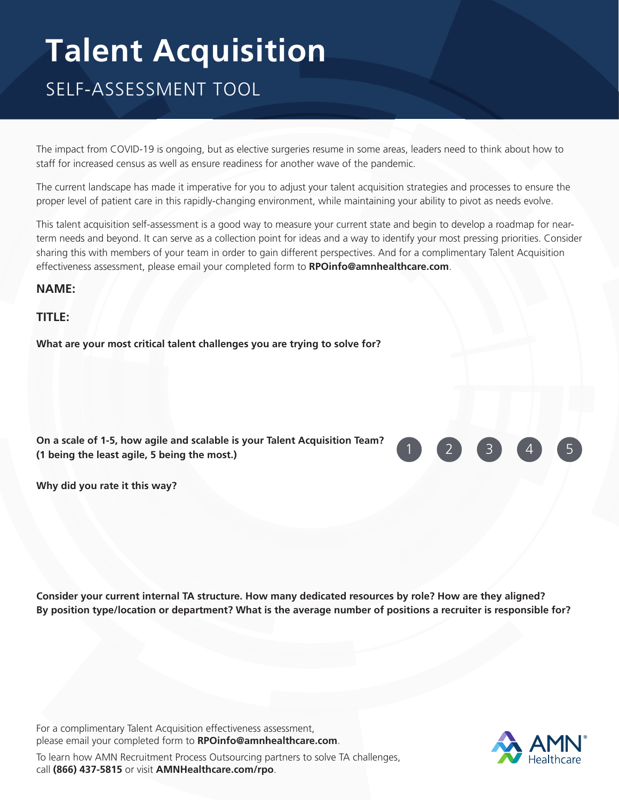## **Talent Acquisition**

## SELF-ASSESSMENT TOOL

The impact from COVID-19 is ongoing, but as elective surgeries resume in some areas, leaders need to think about how to staff for increased census as well as ensure readiness for another wave of the pandemic.

The current landscape has made it imperative for you to adjust your talent acquisition strategies and processes to ensure the proper level of patient care in this rapidly-changing environment, while maintaining your ability to pivot as needs evolve.

This talent acquisition self-assessment is a good way to measure your current state and begin to develop a roadmap for nearterm needs and beyond. It can serve as a collection point for ideas and a way to identify your most pressing priorities. Consider sharing this with members of your team in order to gain different perspectives. And for a complimentary Talent Acquisition effectiveness assessment, please email your completed form to **[RPOinfo@amnhealthcare.com](mailto:RPOinfo%40amnhealthcare.com?subject=)**.

**NAME:**

**TITLE:**

**What are your most critical talent challenges you are trying to solve for?**

| On a scale of 1-5, how agile and scalable is your Talent Acquisition Team? |
|----------------------------------------------------------------------------|
| (1 being the least agile, 5 being the most.)                               |



**Why did you rate it this way?**

**Consider your current internal TA structure. How many dedicated resources by role? How are they aligned? By position type/location or department? What is the average number of positions a recruiter is responsible for?**

For a complimentary Talent Acquisition effectiveness assessment, please email your completed form to **[RPOinfo@amnhealthcare.com](mailto:RPOinfo%40amnhealthcare.com?subject=)**.



To learn how AMN Recruitment Process Outsourcing partners to solve TA challenges, call **(866) 437-5815** or visit **[AMNHealthcare.com/rpo](http://AMNHealthcare.com/rpo)**.